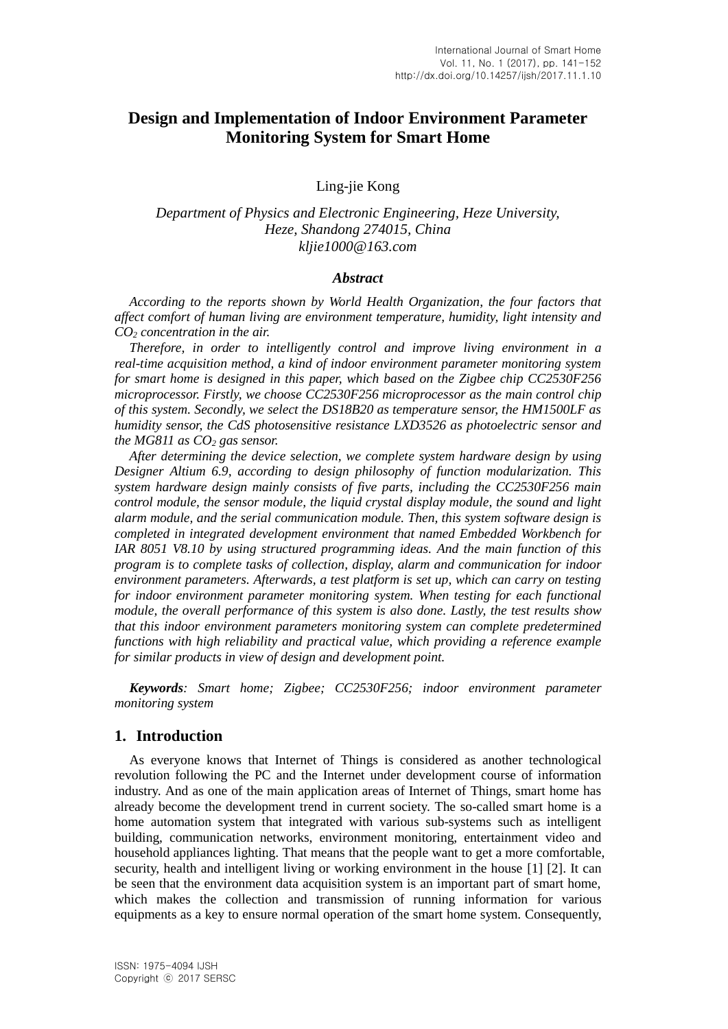# **Design and Implementation of Indoor Environment Parameter Monitoring System for Smart Home**

Ling-jie Kong

*Department of Physics and Electronic Engineering, Heze University, Heze, Shandong 274015, China kljie1000@163.com*

#### *Abstract*

*According to the reports shown by World Health Organization, the four factors that affect comfort of human living are environment temperature, humidity, light intensity and CO<sup>2</sup> concentration in the air.*

*Therefore, in order to intelligently control and improve living environment in a real-time acquisition method, a kind of indoor environment parameter monitoring system for smart home is designed in this paper, which based on the Zigbee chip CC2530F256 microprocessor. Firstly, we choose CC2530F256 microprocessor as the main control chip of this system. Secondly, we select the DS18B20 as temperature sensor, the HM1500LF as humidity sensor, the CdS photosensitive resistance LXD3526 as photoelectric sensor and the MG811 as CO<sup>2</sup> gas sensor.*

*After determining the device selection, we complete system hardware design by using Designer Altium 6.9, according to design philosophy of function modularization. This system hardware design mainly consists of five parts, including the CC2530F256 main control module, the sensor module, the liquid crystal display module, the sound and light alarm module, and the serial communication module. Then, this system software design is completed in integrated development environment that named Embedded Workbench for IAR 8051 V8.10 by using structured programming ideas. And the main function of this program is to complete tasks of collection, display, alarm and communication for indoor environment parameters. Afterwards, a test platform is set up, which can carry on testing for indoor environment parameter monitoring system. When testing for each functional module, the overall performance of this system is also done. Lastly, the test results show that this indoor environment parameters monitoring system can complete predetermined functions with high reliability and practical value, which providing a reference example for similar products in view of design and development point.*

*Keywords: Smart home; Zigbee; CC2530F256; indoor environment parameter monitoring system*

#### **1. Introduction**

As everyone knows that Internet of Things is considered as another technological revolution following the PC and the Internet under development course of information industry. And as one of the main application areas of Internet of Things, smart home has already become the development trend in current society. The so-called smart home is a home automation system that integrated with various sub-systems such as intelligent building, communication networks, environment monitoring, entertainment video and household appliances lighting. That means that the people want to get a more comfortable, security, health and intelligent living or working environment in the house [1] [2]. It can be seen that the environment data acquisition system is an important part of smart home, which makes the collection and transmission of running information for various equipments as a key to ensure normal operation of the smart home system. Consequently,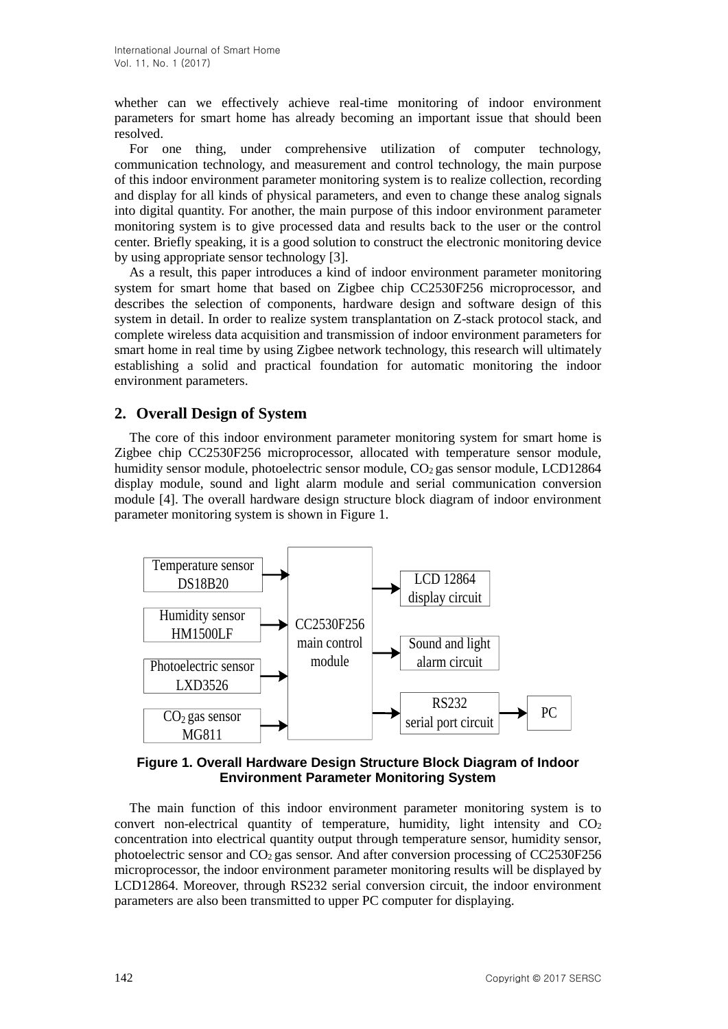whether can we effectively achieve real-time monitoring of indoor environment parameters for smart home has already becoming an important issue that should been resolved.

For one thing, under comprehensive utilization of computer technology, communication technology, and measurement and control technology, the main purpose of this indoor environment parameter monitoring system is to realize collection, recording and display for all kinds of physical parameters, and even to change these analog signals into digital quantity. For another, the main purpose of this indoor environment parameter monitoring system is to give processed data and results back to the user or the control center. Briefly speaking, it is a good solution to construct the electronic monitoring device by using appropriate sensor technology [3].

As a result, this paper introduces a kind of indoor environment parameter monitoring system for smart home that based on Zigbee chip CC2530F256 microprocessor, and describes the selection of components, hardware design and software design of this system in detail. In order to realize system transplantation on Z-stack protocol stack, and complete wireless data acquisition and transmission of indoor environment parameters for smart home in real time by using Zigbee network technology, this research will ultimately establishing a solid and practical foundation for automatic monitoring the indoor environment parameters.

# **2. Overall Design of System**

The core of this indoor environment parameter monitoring system for smart home is Zigbee chip CC2530F256 microprocessor, allocated with temperature sensor module, humidity sensor module, photoelectric sensor module, CO<sub>2</sub> gas sensor module, LCD12864 display module, sound and light alarm module and serial communication conversion module [4]. The overall hardware design structure block diagram of indoor environment parameter monitoring system is shown in Figure 1.



## **Figure 1. Overall Hardware Design Structure Block Diagram of Indoor Environment Parameter Monitoring System**

The main function of this indoor environment parameter monitoring system is to convert non-electrical quantity of temperature, humidity, light intensity and  $CO<sub>2</sub>$ concentration into electrical quantity output through temperature sensor, humidity sensor, photoelectric sensor and CO<sup>2</sup> gas sensor. And after conversion processing of CC2530F256 microprocessor, the indoor environment parameter monitoring results will be displayed by LCD12864. Moreover, through RS232 serial conversion circuit, the indoor environment parameters are also been transmitted to upper PC computer for displaying.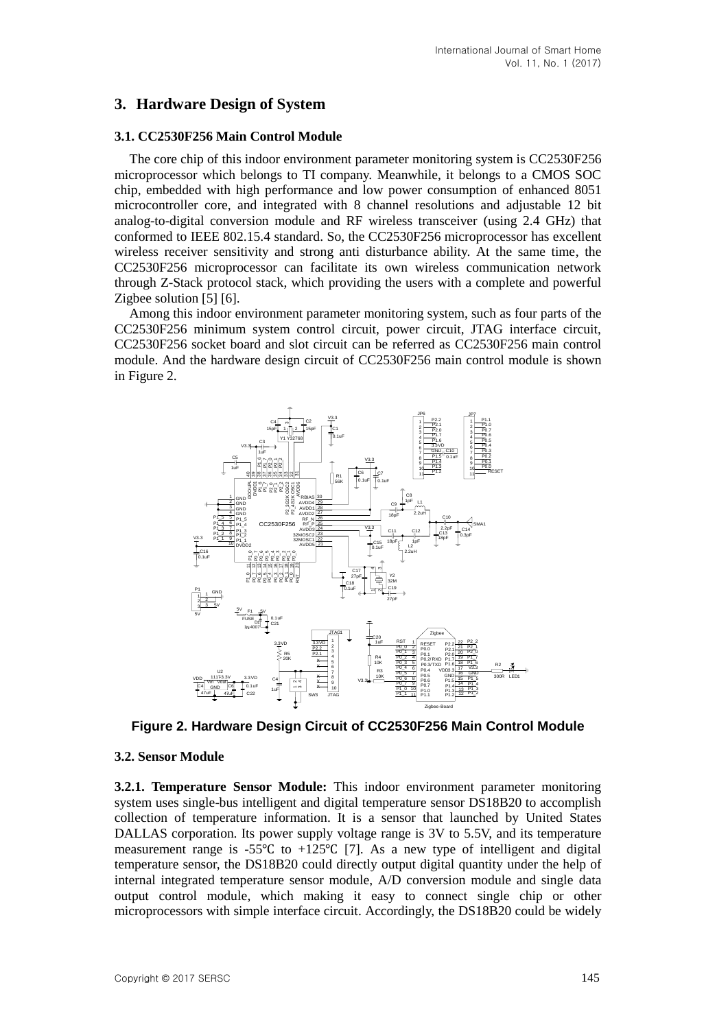# **3. Hardware Design of System**

### **3.1. CC2530F256 Main Control Module**

The core chip of this indoor environment parameter monitoring system is CC2530F256 microprocessor which belongs to TI company. Meanwhile, it belongs to a CMOS SOC chip, embedded with high performance and low power consumption of enhanced 8051 microcontroller core, and integrated with 8 channel resolutions and adjustable 12 bit analog-to-digital conversion module and RF wireless transceiver (using 2.4 GHz) that conformed to IEEE 802.15.4 standard. So, the CC2530F256 microprocessor has excellent wireless receiver sensitivity and strong anti disturbance ability. At the same time, the CC2530F256 microprocessor can facilitate its own wireless communication network through Z-Stack protocol stack, which providing the users with a complete and powerful Zigbee solution [5] [6].

Among this indoor environment parameter monitoring system, such as four parts of the CC2530F256 minimum system control circuit, power circuit, JTAG interface circuit, CC2530F256 socket board and slot circuit can be referred as CC2530F256 main control module. And the hardware design circuit of CC2530F256 main control module is shown in Figure 2.



**Figure 2. Hardware Design Circuit of CC2530F256 Main Control Module**

### **3.2. Sensor Module**

**3.2.1. Temperature Sensor Module:** This indoor environment parameter monitoring system uses single-bus intelligent and digital temperature sensor DS18B20 to accomplish collection of temperature information. It is a sensor that launched by United States DALLAS corporation. Its power supply voltage range is 3V to 5.5V, and its temperature measurement range is -55℃ to +125℃ [7]. As a new type of intelligent and digital temperature sensor, the DS18B20 could directly output digital quantity under the help of internal integrated temperature sensor module, A/D conversion module and single data output control module, which making it easy to connect single chip or other microprocessors with simple interface circuit. Accordingly, the DS18B20 could be widely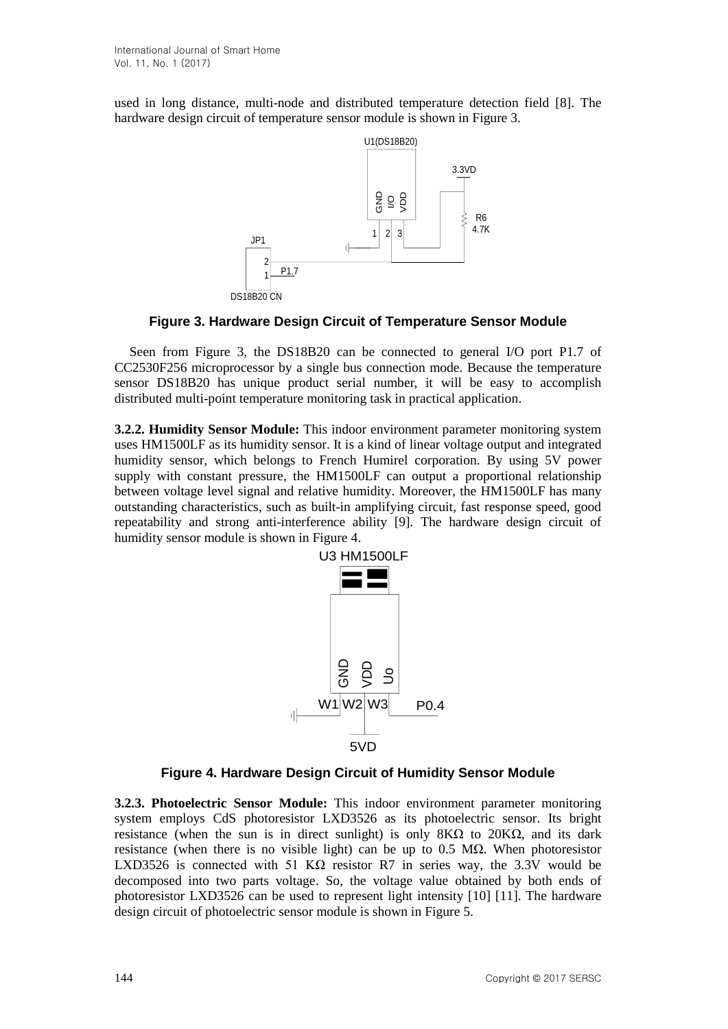used in long distance, multi-node and distributed temperature detection field [8]. The hardware design circuit of temperature sensor module is shown in Figure 3.



**Figure 3. Hardware Design Circuit of Temperature Sensor Module**

Seen from Figure 3, the DS18B20 can be connected to general I/O port P1.7 of CC2530F256 microprocessor by a single bus connection mode. Because the temperature sensor DS18B20 has unique product serial number, it will be easy to accomplish distributed multi-point temperature monitoring task in practical application.

**3.2.2. Humidity Sensor Module:** This indoor environment parameter monitoring system uses HM1500LF as its humidity sensor. It is a kind of linear voltage output and integrated humidity sensor, which belongs to French Humirel corporation. By using 5V power supply with constant pressure, the HM1500LF can output a proportional relationship between voltage level signal and relative humidity. Moreover, the HM1500LF has many outstanding characteristics, such as built-in amplifying circuit, fast response speed, good repeatability and strong anti-interference ability [9]. The hardware design circuit of humidity sensor module is shown in Figure 4.



**Figure 4. Hardware Design Circuit of Humidity Sensor Module**

**3.2.3. Photoelectric Sensor Module:** This indoor environment parameter monitoring system employs CdS photoresistor LXD3526 as its photoelectric sensor. Its bright resistance (when the sun is in direct sunlight) is only  $8K\Omega$  to  $20K\Omega$ , and its dark resistance (when there is no visible light) can be up to 0.5 MΩ. When photoresistor LXD3526 is connected with 51 K $\Omega$  resistor R7 in series way, the 3.3V would be decomposed into two parts voltage. So, the voltage value obtained by both ends of photoresistor LXD3526 can be used to represent light intensity [10] [11]. The hardware design circuit of photoelectric sensor module is shown in Figure 5.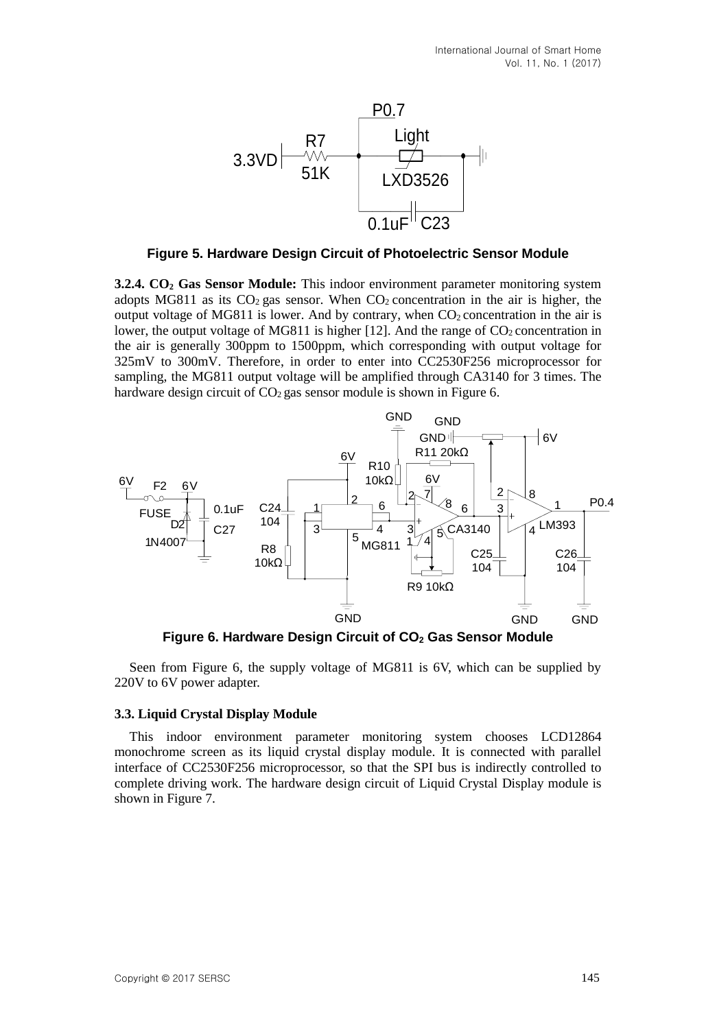

**Figure 5. Hardware Design Circuit of Photoelectric Sensor Module**

**3.2.4. CO<sup>2</sup> Gas Sensor Module:** This indoor environment parameter monitoring system adopts MG811 as its  $CO_2$  gas sensor. When  $CO_2$  concentration in the air is higher, the output voltage of MG811 is lower. And by contrary, when  $CO<sub>2</sub>$  concentration in the air is lower, the output voltage of MG811 is higher [12]. And the range of  $CO_2$  concentration in the air is generally 300ppm to 1500ppm, which corresponding with output voltage for 325mV to 300mV. Therefore, in order to enter into CC2530F256 microprocessor for sampling, the MG811 output voltage will be amplified through CA3140 for 3 times. The hardware design circuit of  $CO<sub>2</sub>$  gas sensor module is shown in Figure 6.



**Figure 6. Hardware Design Circuit of CO<sup>2</sup> Gas Sensor Module**

Seen from Figure 6, the supply voltage of MG811 is 6V, which can be supplied by 220V to 6V power adapter.

### **3.3. Liquid Crystal Display Module**

This indoor environment parameter monitoring system chooses LCD12864 monochrome screen as its liquid crystal display module. It is connected with parallel interface of CC2530F256 microprocessor, so that the SPI bus is indirectly controlled to complete driving work. The hardware design circuit of Liquid Crystal Display module is shown in Figure 7.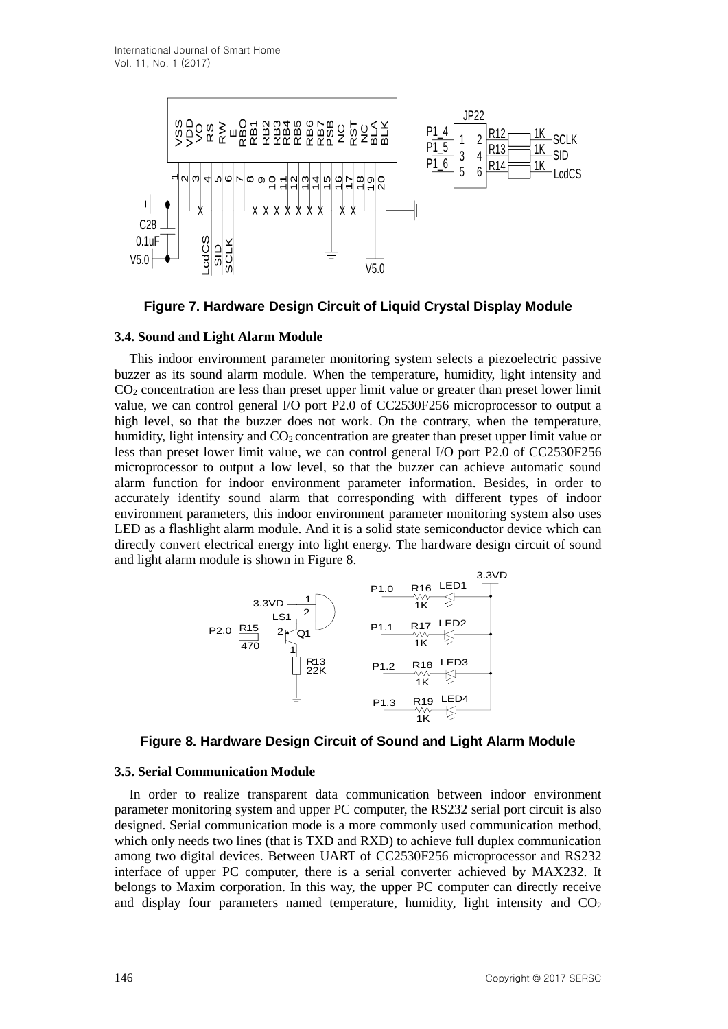

**Figure 7. Hardware Design Circuit of Liquid Crystal Display Module**

## **3.4. Sound and Light Alarm Module**

**148 Copyright Copyright Copyright Copyright Copyright Copyright Copyright Copyright Copyright Copyright Copyright Copyright Copyright Copyright Copyright Copyright Copyright Copyright Copyright Copyright Copyright Copyri** This indoor environment parameter monitoring system selects a piezoelectric passive buzzer as its sound alarm module. When the temperature, humidity, light intensity and CO<sup>2</sup> concentration are less than preset upper limit value or greater than preset lower limit value, we can control general I/O port P2.0 of CC2530F256 microprocessor to output a high level, so that the buzzer does not work. On the contrary, when the temperature, humidity, light intensity and  $CO<sub>2</sub>$  concentration are greater than preset upper limit value or less than preset lower limit value, we can control general I/O port P2.0 of CC2530F256 microprocessor to output a low level, so that the buzzer can achieve automatic sound alarm function for indoor environment parameter information. Besides, in order to accurately identify sound alarm that corresponding with different types of indoor environment parameters, this indoor environment parameter monitoring system also uses LED as a flashlight alarm module. And it is a solid state semiconductor device which can directly convert electrical energy into light energy. The hardware design circuit of sound and light alarm module is shown in Figure 8.



**Figure 8. Hardware Design Circuit of Sound and Light Alarm Module**

### **3.5. Serial Communication Module**

In order to realize transparent data communication between indoor environment parameter monitoring system and upper PC computer, the RS232 serial port circuit is also designed. Serial communication mode is a more commonly used communication method, which only needs two lines (that is TXD and RXD) to achieve full duplex communication among two digital devices. Between UART of CC2530F256 microprocessor and RS232 interface of upper PC computer, there is a serial converter achieved by MAX232. It belongs to Maxim corporation. In this way, the upper PC computer can directly receive and display four parameters named temperature, humidity, light intensity and  $CO<sub>2</sub>$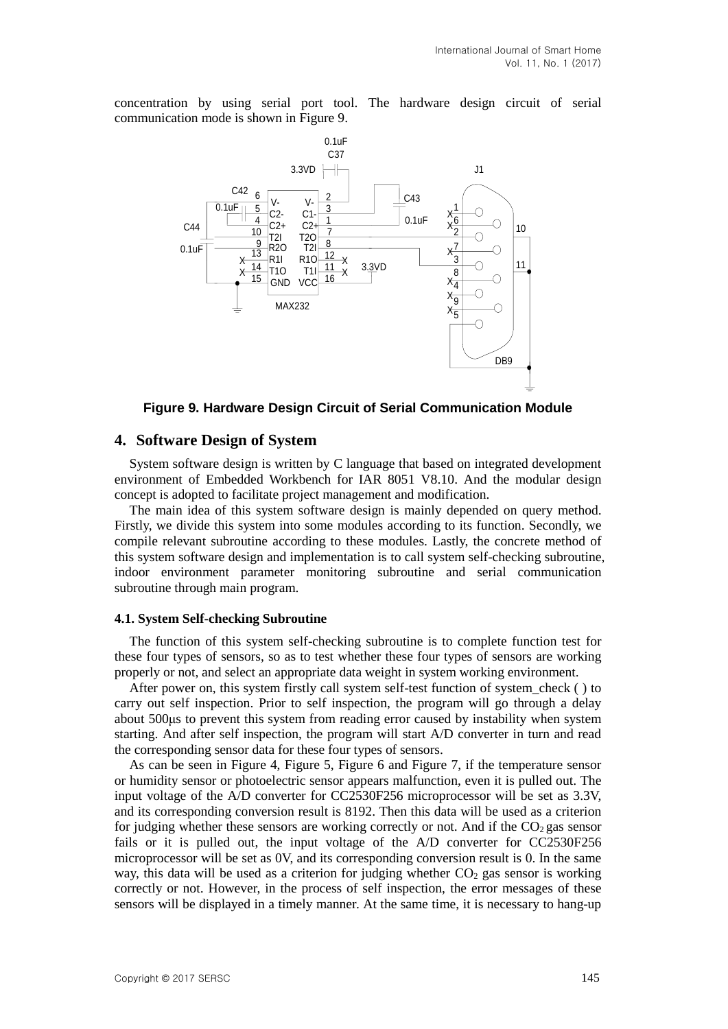concentration by using serial port tool. The hardware design circuit of serial communication mode is shown in Figure 9.



**Figure 9. Hardware Design Circuit of Serial Communication Module**

### **4. Software Design of System**

System software design is written by C language that based on integrated development environment of Embedded Workbench for IAR 8051 V8.10. And the modular design concept is adopted to facilitate project management and modification.

The main idea of this system software design is mainly depended on query method. Firstly, we divide this system into some modules according to its function. Secondly, we compile relevant subroutine according to these modules. Lastly, the concrete method of this system software design and implementation is to call system self-checking subroutine, indoor environment parameter monitoring subroutine and serial communication subroutine through main program.

#### **4.1. System Self-checking Subroutine**

The function of this system self-checking subroutine is to complete function test for these four types of sensors, so as to test whether these four types of sensors are working properly or not, and select an appropriate data weight in system working environment.

After power on, this system firstly call system self-test function of system\_check ( ) to carry out self inspection. Prior to self inspection, the program will go through a delay about 500μs to prevent this system from reading error caused by instability when system starting. And after self inspection, the program will start A/D converter in turn and read the corresponding sensor data for these four types of sensors.

As can be seen in Figure 4, Figure 5, Figure 6 and Figure 7, if the temperature sensor or humidity sensor or photoelectric sensor appears malfunction, even it is pulled out. The input voltage of the A/D converter for CC2530F256 microprocessor will be set as 3.3V, and its corresponding conversion result is 8192. Then this data will be used as a criterion for judging whether these sensors are working correctly or not. And if the  $CO<sub>2</sub>$  gas sensor fails or it is pulled out, the input voltage of the A/D converter for CC2530F256 microprocessor will be set as 0V, and its corresponding conversion result is 0. In the same way, this data will be used as a criterion for judging whether  $CO<sub>2</sub>$  gas sensor is working correctly or not. However, in the process of self inspection, the error messages of these sensors will be displayed in a timely manner. At the same time, it is necessary to hang-up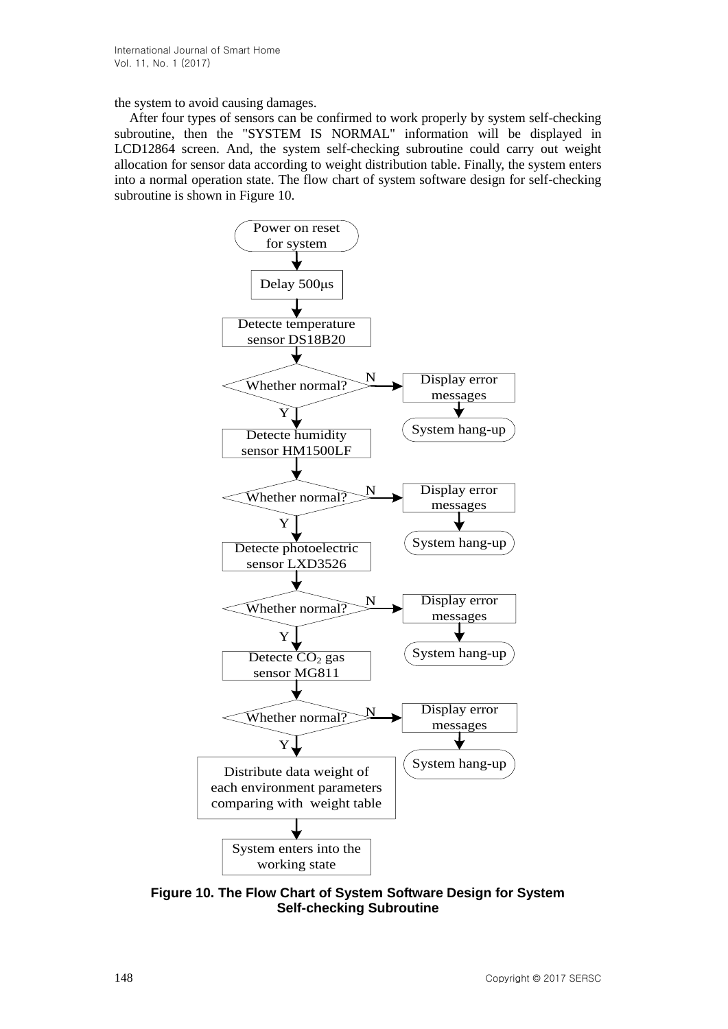the system to avoid causing damages.

After four types of sensors can be confirmed to work properly by system self-checking subroutine, then the "SYSTEM IS NORMAL" information will be displayed in LCD12864 screen. And, the system self-checking subroutine could carry out weight allocation for sensor data according to weight distribution table. Finally, the system enters into a normal operation state. The flow chart of system software design for self-checking subroutine is shown in Figure 10.



**Figure 10. The Flow Chart of System Software Design for System Self-checking Subroutine**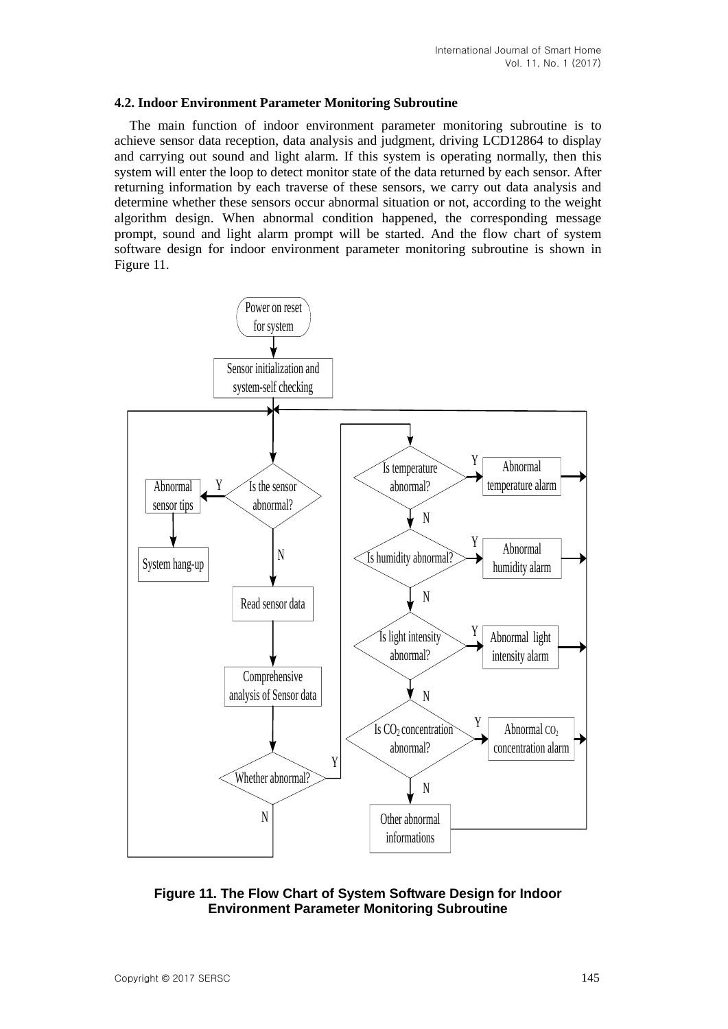#### **4.2. Indoor Environment Parameter Monitoring Subroutine**

The main function of indoor environment parameter monitoring subroutine is to achieve sensor data reception, data analysis and judgment, driving LCD12864 to display and carrying out sound and light alarm. If this system is operating normally, then this system will enter the loop to detect monitor state of the data returned by each sensor. After returning information by each traverse of these sensors, we carry out data analysis and determine whether these sensors occur abnormal situation or not, according to the weight algorithm design. When abnormal condition happened, the corresponding message prompt, sound and light alarm prompt will be started. And the flow chart of system software design for indoor environment parameter monitoring subroutine is shown in Figure 11.



**Figure 11. The Flow Chart of System Software Design for Indoor Environment Parameter Monitoring Subroutine**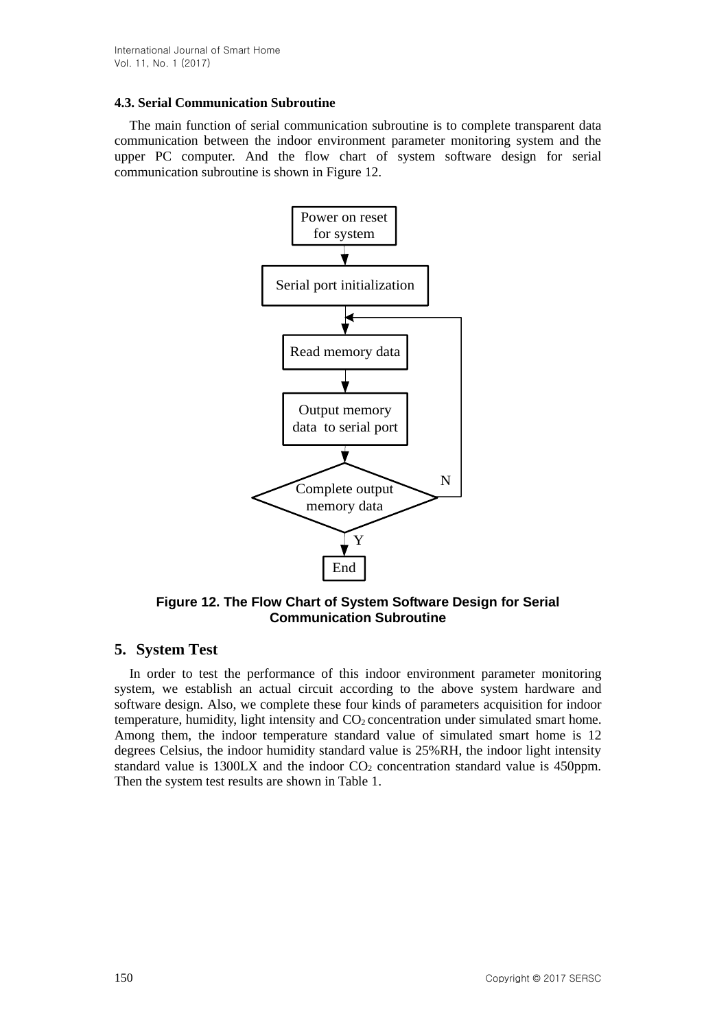## **4.3. Serial Communication Subroutine**

The main function of serial communication subroutine is to complete transparent data communication between the indoor environment parameter monitoring system and the upper PC computer. And the flow chart of system software design for serial communication subroutine is shown in Figure 12.



**Figure 12. The Flow Chart of System Software Design for Serial Communication Subroutine**

# **5. System Test**

In order to test the performance of this indoor environment parameter monitoring system, we establish an actual circuit according to the above system hardware and software design. Also, we complete these four kinds of parameters acquisition for indoor temperature, humidity, light intensity and CO<sup>2</sup> concentration under simulated smart home. Among them, the indoor temperature standard value of simulated smart home is 12 degrees Celsius, the indoor humidity standard value is 25%RH, the indoor light intensity standard value is  $1300\text{L}X$  and the indoor  $CO_2$  concentration standard value is 450ppm. Then the system test results are shown in Table 1.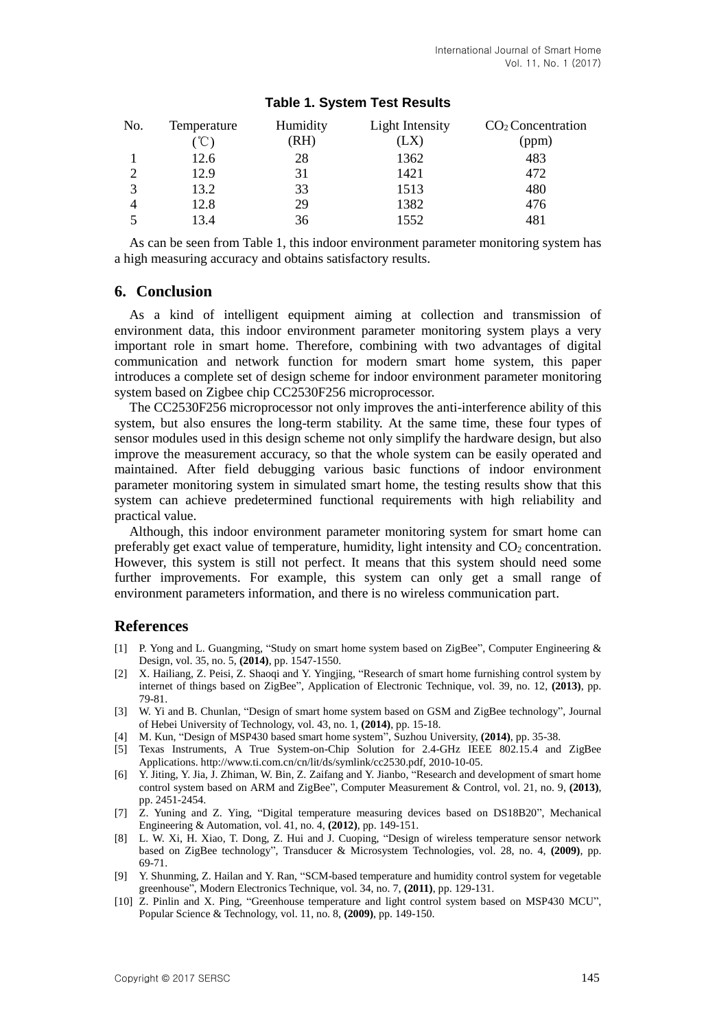| No. | Temperature | Humidity | Light Intensity | $CO2$ Concentration |
|-----|-------------|----------|-----------------|---------------------|
|     | °C          | (RH)     | (LX)            | (ppm)               |
|     | 12.6        | 28       | 1362            | 483                 |
|     | 12.9        | 31       | 1421            | 472                 |
| 3   | 13.2        | 33       | 1513            | 480                 |
| 4   | 12.8        | 29       | 1382            | 476                 |
|     | 13.4        | 36       | 1552            | 481                 |

# **Table 1. System Test Results**

As can be seen from Table 1, this indoor environment parameter monitoring system has a high measuring accuracy and obtains satisfactory results.

## **6. Conclusion**

As a kind of intelligent equipment aiming at collection and transmission of environment data, this indoor environment parameter monitoring system plays a very important role in smart home. Therefore, combining with two advantages of digital communication and network function for modern smart home system, this paper introduces a complete set of design scheme for indoor environment parameter monitoring system based on Zigbee chip CC2530F256 microprocessor.

The CC2530F256 microprocessor not only improves the anti-interference ability of this system, but also ensures the long-term stability. At the same time, these four types of sensor modules used in this design scheme not only simplify the hardware design, but also improve the measurement accuracy, so that the whole system can be easily operated and maintained. After field debugging various basic functions of indoor environment parameter monitoring system in simulated smart home, the testing results show that this system can achieve predetermined functional requirements with high reliability and practical value.

Although, this indoor environment parameter monitoring system for smart home can preferably get exact value of temperature, humidity, light intensity and  $CO<sub>2</sub>$  concentration. However, this system is still not perfect. It means that this system should need some further improvements. For example, this system can only get a small range of environment parameters information, and there is no wireless communication part.

### **References**

- [1] P. Yong and L. Guangming, "Study on smart home system based on ZigBee", Computer Engineering & Design, vol. 35, no. 5, **(2014)**, pp. 1547-1550.
- [2] X. Hailiang, Z. Peisi, Z. Shaoqi and Y. Yingjing, "Research of smart home furnishing control system by internet of things based on ZigBee", Application of Electronic Technique, vol. 39, no. 12, **(2013)**, pp. 79-81.
- [3] W. Yi and B. Chunlan, "Design of smart home system based on GSM and ZigBee technology", Journal of Hebei University of Technology, vol. 43, no. 1, **(2014)**, pp. 15-18.
- [4] M. Kun, "Design of MSP430 based smart home system", Suzhou University, **(2014)**, pp. 35-38.
- [5] Texas Instruments, A True System-on-Chip Solution for 2.4-GHz IEEE 802.15.4 and ZigBee Applications. http://www.ti.com.cn/cn/lit/ds/symlink/cc2530.pdf, 2010-10-05.
- [6] Y. Jiting, Y. Jia, J. Zhiman, W. Bin, Z. Zaifang and Y. Jianbo, "Research and development of smart home control system based on ARM and ZigBee", Computer Measurement & Control, vol. 21, no. 9, **(2013)**, pp. 2451-2454.
- [7] Z. Yuning and Z. Ying, "Digital temperature measuring devices based on DS18B20", Mechanical Engineering & Automation, vol. 41, no. 4, **(2012)**, pp. 149-151.
- [8] L. W. Xi, H. Xiao, T. Dong, Z. Hui and J. Cuoping, "Design of wireless temperature sensor network based on ZigBee technology", Transducer & Microsystem Technologies, vol. 28, no. 4, **(2009)**, pp. 69-71.
- [9] Y. Shunming, Z. Hailan and Y. Ran, "SCM-based temperature and humidity control system for vegetable greenhouse", Modern Electronics Technique, vol. 34, no. 7, **(2011)**, pp. 129-131.
- [10] Z. Pinlin and X. Ping, "Greenhouse temperature and light control system based on MSP430 MCU", Popular Science & Technology, vol. 11, no. 8, **(2009)**, pp. 149-150.